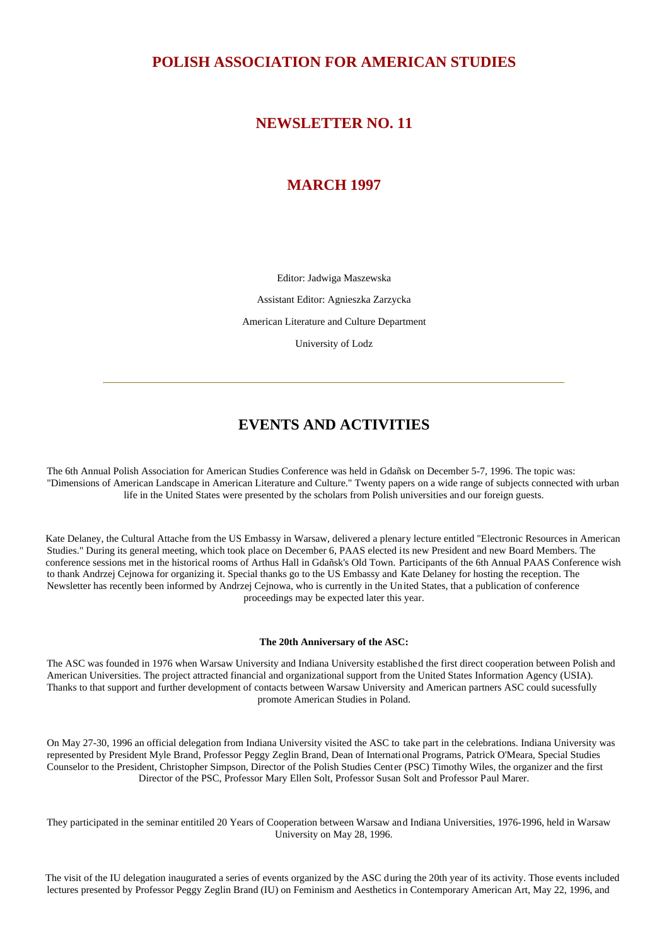## **POLISH ASSOCIATION FOR AMERICAN STUDIES**

### **NEWSLETTER NO. 11**

## **MARCH 1997**

Editor: Jadwiga Maszewska

Assistant Editor: Agnieszka Zarzycka

American Literature and Culture Department

University of Lodz

# **EVENTS AND ACTIVITIES**

The 6th Annual Polish Association for American Studies Conference was held in Gdañsk on December 5-7, 1996. The topic was: "Dimensions of American Landscape in American Literature and Culture." Twenty papers on a wide range of subjects connected with urban life in the United States were presented by the scholars from Polish universities and our foreign guests.

Kate Delaney, the Cultural Attache from the US Embassy in Warsaw, delivered a plenary lecture entitled "Electronic Resources in American Studies." During its general meeting, which took place on December 6, PAAS elected its new President and new Board Members. The conference sessions met in the historical rooms of Arthus Hall in Gdañsk's Old Town. Participants of the 6th Annual PAAS Conference wish to thank Andrzej Cejnowa for organizing it. Special thanks go to the US Embassy and Kate Delaney for hosting the reception. The Newsletter has recently been informed by Andrzej Cejnowa, who is currently in the United States, that a publication of conference proceedings may be expected later this year.

### **The 20th Anniversary of the ASC:**

The ASC was founded in 1976 when Warsaw University and Indiana University established the first direct cooperation between Polish and American Universities. The project attracted financial and organizational support from the United States Information Agency (USIA). Thanks to that support and further development of contacts between Warsaw University and American partners ASC could sucessfully promote American Studies in Poland.

On May 27-30, 1996 an official delegation from Indiana University visited the ASC to take part in the celebrations. Indiana University was represented by President Myle Brand, Professor Peggy Zeglin Brand, Dean of International Programs, Patrick O'Meara, Special Studies Counselor to the President, Christopher Simpson, Director of the Polish Studies Center (PSC) Timothy Wiles, the organizer and the first Director of the PSC, Professor Mary Ellen Solt, Professor Susan Solt and Professor Paul Marer.

They participated in the seminar entitiled 20 Years of Cooperation between Warsaw and Indiana Universities, 1976-1996, held in Warsaw University on May 28, 1996.

The visit of the IU delegation inaugurated a series of events organized by the ASC during the 20th year of its activity. Those events included lectures presented by Professor Peggy Zeglin Brand (IU) on Feminism and Aesthetics in Contemporary American Art, May 22, 1996, and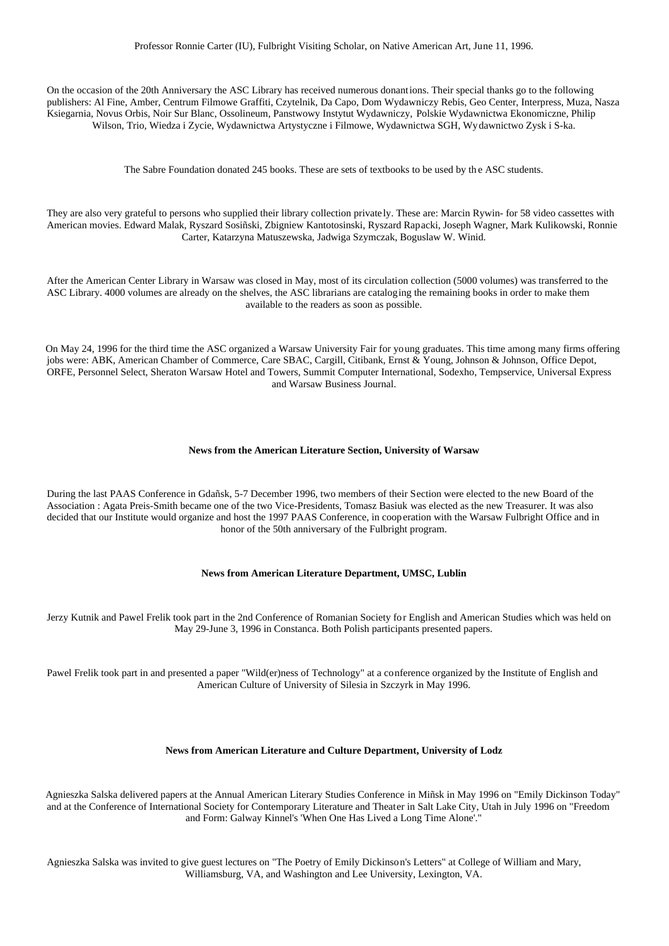On the occasion of the 20th Anniversary the ASC Library has received numerous donantions. Their special thanks go to the following publishers: Al Fine, Amber, Centrum Filmowe Graffiti, Czytelnik, Da Capo, Dom Wydawniczy Rebis, Geo Center, Interpress, Muza, Nasza Ksiegarnia, Novus Orbis, Noir Sur Blanc, Ossolineum, Panstwowy Instytut Wydawniczy, Polskie Wydawnictwa Ekonomiczne, Philip Wilson, Trio, Wiedza i Zycie, Wydawnictwa Artystyczne i Filmowe, Wydawnictwa SGH, Wydawnictwo Zysk i S-ka.

The Sabre Foundation donated 245 books. These are sets of textbooks to be used by the ASC students.

They are also very grateful to persons who supplied their library collection privately. These are: Marcin Rywin- for 58 video cassettes with American movies. Edward Malak, Ryszard Sosiñski, Zbigniew Kantotosinski, Ryszard Rapacki, Joseph Wagner, Mark Kulikowski, Ronnie Carter, Katarzyna Matuszewska, Jadwiga Szymczak, Boguslaw W. Winid.

After the American Center Library in Warsaw was closed in May, most of its circulation collection (5000 volumes) was transferred to the ASC Library. 4000 volumes are already on the shelves, the ASC librarians are cataloging the remaining books in order to make them available to the readers as soon as possible.

On May 24, 1996 for the third time the ASC organized a Warsaw University Fair for young graduates. This time among many firms offering jobs were: ABK, American Chamber of Commerce, Care SBAC, Cargill, Citibank, Ernst & Young, Johnson & Johnson, Office Depot, ORFE, Personnel Select, Sheraton Warsaw Hotel and Towers, Summit Computer International, Sodexho, Tempservice, Universal Express and Warsaw Business Journal.

#### **News from the American Literature Section, University of Warsaw**

During the last PAAS Conference in Gdañsk, 5-7 December 1996, two members of their Section were elected to the new Board of the Association : Agata Preis-Smith became one of the two Vice-Presidents, Tomasz Basiuk was elected as the new Treasurer. It was also decided that our Institute would organize and host the 1997 PAAS Conference, in cooperation with the Warsaw Fulbright Office and in honor of the 50th anniversary of the Fulbright program.

### **News from American Literature Department, UMSC, Lublin**

Jerzy Kutnik and Pawel Frelik took part in the 2nd Conference of Romanian Society for English and American Studies which was held on May 29-June 3, 1996 in Constanca. Both Polish participants presented papers.

Pawel Frelik took part in and presented a paper "Wild(er)ness of Technology" at a conference organized by the Institute of English and American Culture of University of Silesia in Szczyrk in May 1996.

### **News from American Literature and Culture Department, University of Lodz**

Agnieszka Salska delivered papers at the Annual American Literary Studies Conference in Miñsk in May 1996 on "Emily Dickinson Today" and at the Conference of International Society for Contemporary Literature and Theater in Salt Lake City, Utah in July 1996 on "Freedom and Form: Galway Kinnel's 'When One Has Lived a Long Time Alone'."

Agnieszka Salska was invited to give guest lectures on "The Poetry of Emily Dickinson's Letters" at College of William and Mary, Williamsburg, VA, and Washington and Lee University, Lexington, VA.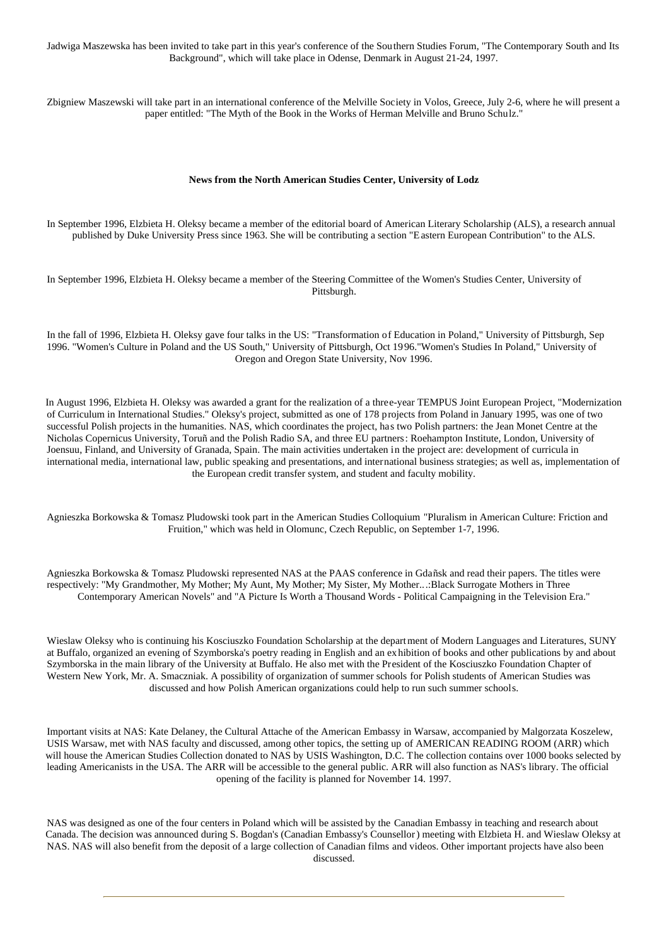Jadwiga Maszewska has been invited to take part in this year's conference of the Southern Studies Forum, "The Contemporary South and Its Background", which will take place in Odense, Denmark in August 21-24, 1997.

Zbigniew Maszewski will take part in an international conference of the Melville Society in Volos, Greece, July 2-6, where he will present a paper entitled: "The Myth of the Book in the Works of Herman Melville and Bruno Schulz."

#### **News from the North American Studies Center, University of Lodz**

In September 1996, Elzbieta H. Oleksy became a member of the editorial board of American Literary Scholarship (ALS), a research annual published by Duke University Press since 1963. She will be contributing a section "E astern European Contribution" to the ALS.

In September 1996, Elzbieta H. Oleksy became a member of the Steering Committee of the Women's Studies Center, University of Pittsburgh.

In the fall of 1996, Elzbieta H. Oleksy gave four talks in the US: "Transformation of Education in Poland," University of Pittsburgh, Sep 1996. "Women's Culture in Poland and the US South," University of Pittsburgh, Oct 1996."Women's Studies In Poland," University of Oregon and Oregon State University, Nov 1996.

In August 1996, Elzbieta H. Oleksy was awarded a grant for the realization of a three-year TEMPUS Joint European Project, "Modernization of Curriculum in International Studies." Oleksy's project, submitted as one of 178 projects from Poland in January 1995, was one of two successful Polish projects in the humanities. NAS, which coordinates the project, has two Polish partners: the Jean Monet Centre at the Nicholas Copernicus University, Toruñ and the Polish Radio SA, and three EU partners: Roehampton Institute, London, University of Joensuu, Finland, and University of Granada, Spain. The main activities undertaken in the project are: development of curricula in international media, international law, public speaking and presentations, and international business strategies; as well as, implementation of the European credit transfer system, and student and faculty mobility.

Agnieszka Borkowska & Tomasz Pludowski took part in the American Studies Colloquium "Pluralism in American Culture: Friction and Fruition," which was held in Olomunc, Czech Republic, on September 1-7, 1996.

Agnieszka Borkowska & Tomasz Pludowski represented NAS at the PAAS conference in Gdañsk and read their papers. The titles were respectively: "My Grandmother, My Mother; My Aunt, My Mother; My Sister, My Mother...:Black Surrogate Mothers in Three Contemporary American Novels" and "A Picture Is Worth a Thousand Words - Political Campaigning in the Television Era."

Wieslaw Oleksy who is continuing his Kosciuszko Foundation Scholarship at the department of Modern Languages and Literatures, SUNY at Buffalo, organized an evening of Szymborska's poetry reading in English and an exhibition of books and other publications by and about Szymborska in the main library of the University at Buffalo. He also met with the President of the Kosciuszko Foundation Chapter of Western New York, Mr. A. Smaczniak. A possibility of organization of summer schools for Polish students of American Studies was discussed and how Polish American organizations could help to run such summer schools.

Important visits at NAS: Kate Delaney, the Cultural Attache of the American Embassy in Warsaw, accompanied by Malgorzata Koszelew, USIS Warsaw, met with NAS faculty and discussed, among other topics, the setting up of AMERICAN READING ROOM (ARR) which will house the American Studies Collection donated to NAS by USIS Washington, D.C. The collection contains over 1000 books selected by leading Americanists in the USA. The ARR will be accessible to the general public. ARR will also function as NAS's library. The official opening of the facility is planned for November 14. 1997.

NAS was designed as one of the four centers in Poland which will be assisted by the Canadian Embassy in teaching and research about Canada. The decision was announced during S. Bogdan's (Canadian Embassy's Counsellor ) meeting with Elzbieta H. and Wieslaw Oleksy at NAS. NAS will also benefit from the deposit of a large collection of Canadian films and videos. Other important projects have also been discussed.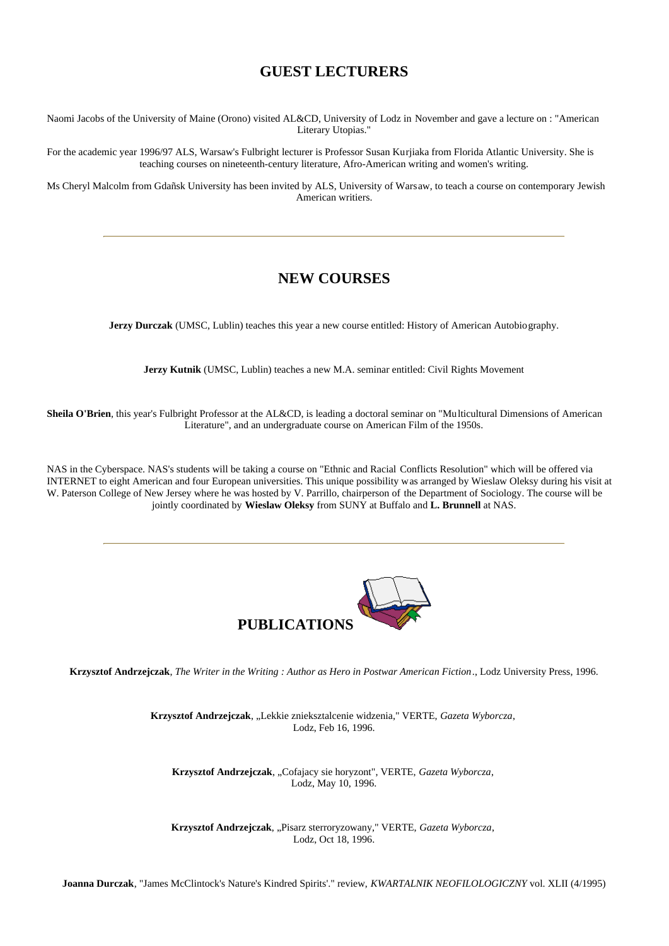## **GUEST LECTURERS**

Naomi Jacobs of the University of Maine (Orono) visited AL&CD, University of Lodz in November and gave a lecture on : "American Literary Utopias."

For the academic year 1996/97 ALS, Warsaw's Fulbright lecturer is Professor Susan Kurjiaka from Florida Atlantic University. She is teaching courses on nineteenth-century literature, Afro-American writing and women's writing.

Ms Cheryl Malcolm from Gdañsk University has been invited by ALS, University of Warsaw, to teach a course on contemporary Jewish American writiers.

## **NEW COURSES**

**Jerzy Durczak** (UMSC, Lublin) teaches this year a new course entitled: History of American Autobiography.

**Jerzy Kutnik** (UMSC, Lublin) teaches a new M.A. seminar entitled: Civil Rights Movement

**Sheila O'Brien**, this year's Fulbright Professor at the AL&CD, is leading a doctoral seminar on "Multicultural Dimensions of American Literature", and an undergraduate course on American Film of the 1950s.

NAS in the Cyberspace. NAS's students will be taking a course on "Ethnic and Racial Conflicts Resolution" which will be offered via INTERNET to eight American and four European universities. This unique possibility was arranged by Wieslaw Oleksy during his visit at W. Paterson College of New Jersey where he was hosted by V. Parrillo, chairperson of the Department of Sociology. The course will be jointly coordinated by **Wieslaw Oleksy** from SUNY at Buffalo and **L. Brunnell** at NAS.



**Krzysztof Andrzejczak**, *The Writer in the Writing : Author as Hero in Postwar American Fiction*., Lodz University Press, 1996.

Krzysztof Andrzejczak, "Lekkie znieksztalcenie widzenia," VERTE, *Gazeta Wyborcza*, Lodz, Feb 16, 1996.

Krzysztof Andrzejczak, "Cofajacy sie horyzont", VERTE, *Gazeta Wyborcza*, Lodz, May 10, 1996.

Krzysztof Andrzejczak, "Pisarz sterroryzowany," VERTE, *Gazeta Wyborcza*, Lodz, Oct 18, 1996.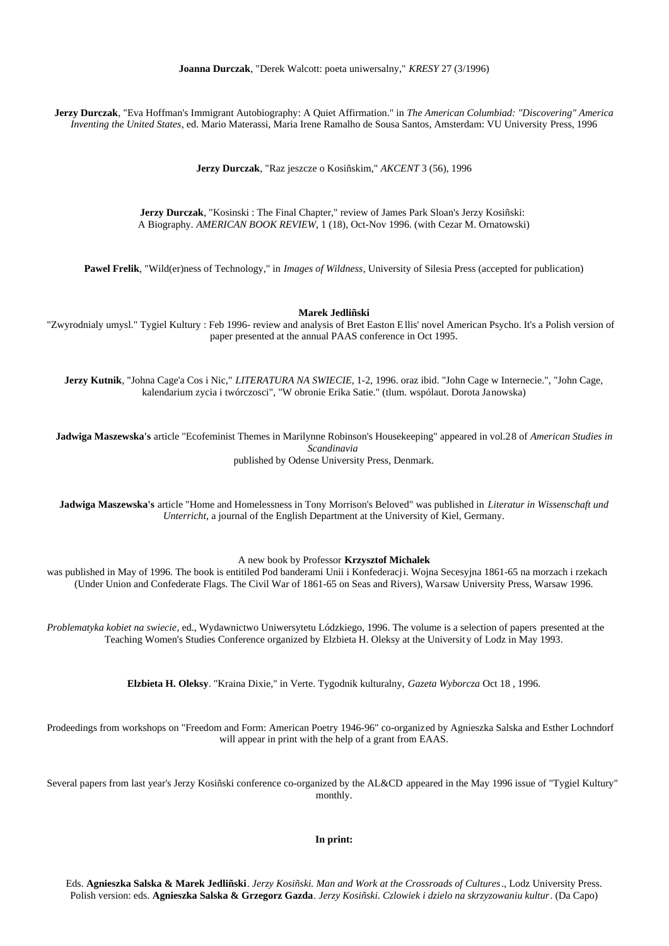**Jerzy Durczak**, "Eva Hoffman's Immigrant Autobiography: A Quiet Affirmation." in *The American Columbiad: "Discovering" America Inventing the United States*, ed. Mario Materassi, Maria Irene Ramalho de Sousa Santos, Amsterdam: VU University Press, 1996

**Jerzy Durczak**, "Raz jeszcze o Kosiñskim," *AKCENT* 3 (56), 1996

**Jerzy Durczak**, "Kosinski : The Final Chapter," review of James Park Sloan's Jerzy Kosiñski: A Biography. *AMERICAN BOOK REVIEW*, 1 (18), Oct-Nov 1996. (with Cezar M. Ornatowski)

**Pawel Frelik**, "Wild(er)ness of Technology," in *Images of Wildness*, University of Silesia Press (accepted for publication)

**Marek Jedliñski**

"Zwyrodnialy umysl." Tygiel Kultury : Feb 1996- review and analysis of Bret Easton E llis' novel American Psycho. It's a Polish version of paper presented at the annual PAAS conference in Oct 1995.

**Jerzy Kutnik**, "Johna Cage'a Cos i Nic," *LITERATURA NA SWIECIE*, 1-2, 1996. oraz ibid. "John Cage w Internecie.", "John Cage, kalendarium zycia i twórczosci", "W obronie Erika Satie." (tlum. wspólaut. Dorota Janowska)

**Jadwiga Maszewska's** article "Ecofeminist Themes in Marilynne Robinson's Housekeeping" appeared in vol.28 of *American Studies in Scandinavia* published by Odense University Press, Denmark.

**Jadwiga Maszewska's** article "Home and Homelessness in Tony Morrison's Beloved" was published in *Literatur in Wissenschaft und Unterricht*, a journal of the English Department at the University of Kiel, Germany.

A new book by Professor **Krzysztof Michalek**

was published in May of 1996. The book is entitiled Pod banderami Unii i Konfederacji. Wojna Secesyjna 1861-65 na morzach i rzekach (Under Union and Confederate Flags. The Civil War of 1861-65 on Seas and Rivers), Warsaw University Press, Warsaw 1996.

*Problematyka kobiet na swiecie*, ed., Wydawnictwo Uniwersytetu Lódzkiego, 1996. The volume is a selection of papers presented at the Teaching Women's Studies Conference organized by Elzbieta H. Oleksy at the University of Lodz in May 1993.

**Elzbieta H. Oleksy**. "Kraina Dixie," in Verte. Tygodnik kulturalny, *Gazeta Wyborcza* Oct 18 , 1996.

Prodeedings from workshops on "Freedom and Form: American Poetry 1946-96" co-organized by Agnieszka Salska and Esther Lochndorf will appear in print with the help of a grant from EAAS.

Several papers from last year's Jerzy Kosiñski conference co-organized by the AL&CD appeared in the May 1996 issue of "Tygiel Kultury" monthly.

**In print:**

Eds. **Agnieszka Salska & Marek Jedliñski**. *Jerzy Kosiñski. Man and Work at the Crossroads of Cultures*., Lodz University Press. Polish version: eds. **Agnieszka Salska & Grzegorz Gazda**. *Jerzy Kosiñski. Czlowiek i dzielo na skrzyzowaniu kultur*. (Da Capo)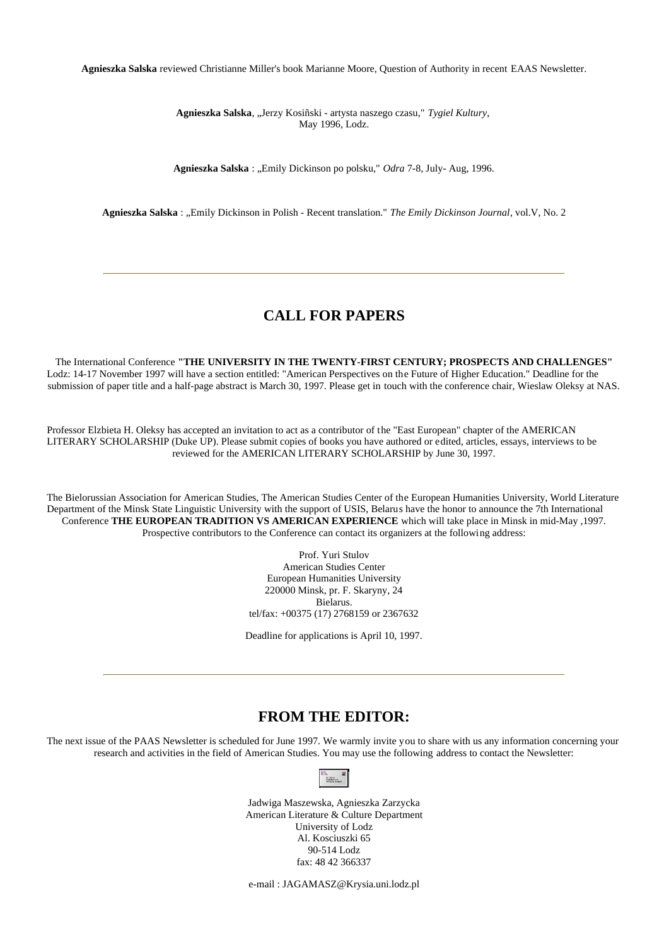**Agnieszka Salska** reviewed Christianne Miller's book Marianne Moore, Question of Authority in recent EAAS Newsletter.

**Agnieszka Salska**, "Jerzy Kosiñski - artysta naszego czasu," *Tygiel Kultury*, May 1996, Lodz.

Agnieszka Salska : "Emily Dickinson po polsku," Odra 7-8, July- Aug, 1996.

Agnieszka Salska : "Emily Dickinson in Polish - Recent translation." The Emily Dickinson Journal, vol.V, No. 2

# **CALL FOR PAPERS**

The International Conference **"THE UNIVERSITY IN THE TWENTY-FIRST CENTURY; PROSPECTS AND CHALLENGES"** Lodz: 14-17 November 1997 will have a section entitled: "American Perspectives on the Future of Higher Education." Deadline for the submission of paper title and a half-page abstract is March 30, 1997. Please get in touch with the conference chair, Wieslaw Oleksy at NAS.

Professor Elzbieta H. Oleksy has accepted an invitation to act as a contributor of the "East European" chapter of the AMERICAN LITERARY SCHOLARSHIP (Duke UP). Please submit copies of books you have authored or edited, articles, essays, interviews to be reviewed for the AMERICAN LITERARY SCHOLARSHIP by June 30, 1997.

The Bielorussian Association for American Studies, The American Studies Center of the European Humanities University, World Literature Department of the Minsk State Linguistic University with the support of USIS, Belarus have the honor to announce the 7th International Conference **THE EUROPEAN TRADITION VS AMERICAN EXPERIENCE** which will take place in Minsk in mid-May ,1997. Prospective contributors to the Conference can contact its organizers at the following address:

> Prof. Yuri Stulov American Studies Center European Humanities University 220000 Minsk, pr. F. Skaryny, 24 Bielarus. tel/fax: +00375 (17) 2768159 or 2367632

Deadline for applications is April 10, 1997.

### **FROM THE EDITOR:**

The next issue of the PAAS Newsletter is scheduled for June 1997. We warmly invite you to share with us any information concerning your research and activities in the field of American Studies. You may use the following address to contact the Newsletter:

| <b>ALC: U</b> |  |
|---------------|--|
|               |  |

Jadwiga Maszewska, Agnieszka Zarzycka American Literature & Culture Department University of Lodz Al. Kosciuszki 65 90-514 Lodz fax: 48 42 366337

e-mail : JAGAMASZ@Krysia.uni.lodz.pl